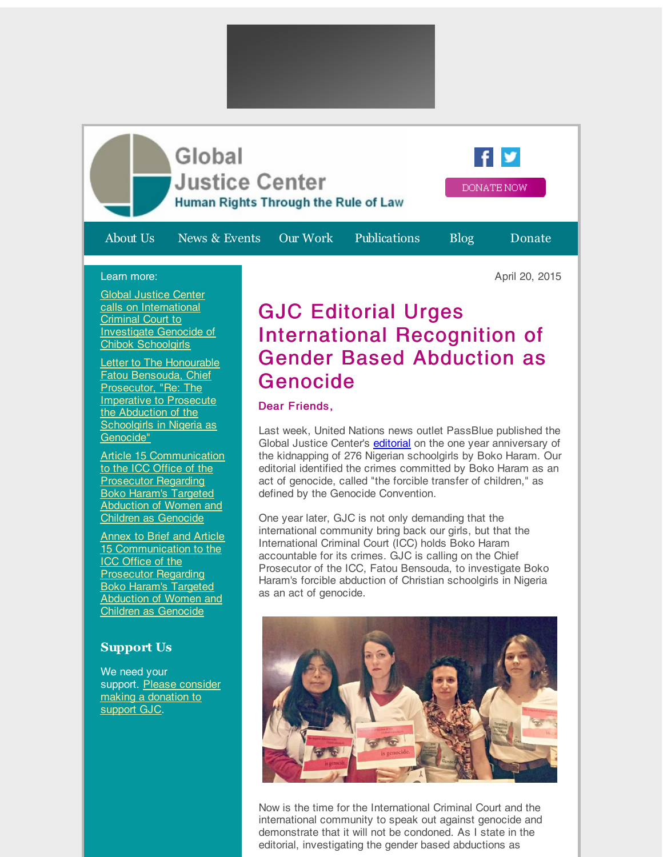

Global Justice Center calls on [International](http://r20.rs6.net/tn.jsp?f=00197BCguu55scOePg0zY_wDAx_U3VD3WpKke0CI5OM_UednoH9Kb-C4UxC0XCmdnyr1SGcCFD_5hDUPoLXD7vBCo5hR3TXFrlbFY1ZrzT3EL3SmB5liwcy72C2gQDNE12Qad-LWMKqUigc3qyvIJXGYOgvqUqIFig2RW0EPonKLKSw25mDPp0znVuP2YiCekbqZkGpeNmQdRQLaOkNAN6XukTgm2cew0WzfRP-YEhKGryLrGBgvPZveXZuvFQa5mVNGYQqfU4ylD0mmVI3cnPectCUj4wOWRl1ZxOZjDtM-WATSHSZafDp8ZebYm0T99wEJA6cKdkfD2vdPZ290Tnis85zAHya4O6Qeco9vrbhJXW4Vjz_OAqKeDlB4XtU2TjmgOyKBgNcneVl47U38Lc27w==&c=&ch=) Criminal Court to Investigate Genocide of Chibok Schoolgirls

**Letter to The Honourable** Fatou Bensouda, Chief [Prosecutor,](http://r20.rs6.net/tn.jsp?f=00197BCguu55scOePg0zY_wDAx_U3VD3WpKke0CI5OM_UednoH9Kb-C4UxC0XCmdnyrU1NGkQFjFnHgzyRtdE-pSNwmG8U4yYMCXU9BSrVRJV65ub9KMF3K8TXwHzevvORV2w7DY3XFkLYcfyYRS8lvrGpFjp18cdZu119rT3mbYMZ898wrU2swWjX0FxRFCII4brIwXy2xo2TQk4j8YHTf3ZRmFFsGOSsjmh-DI1H0pp7Ekbmt2M3EyTR1XKRJNqkuacHe4W1ghT6MWqY3A0g_7VN0PzKNZ8iKlpliBbrKCFgC11IQtJA59uAmuL3FtsI4GoHWvb1uX5nYxYtnaPC8jWrdgovFfMQDaF2TbaepPPmKKrxZNjEI0huC5iRNsV5-aldmOykDHx1RmOLvQcxcAuKp4b8cYNOkfRX99yKofa4=&c=&ch=) "Re: The **Imperative to Prosecute** the Abduction of the Schoolgirls in Nigeria as Genocide"

Article 15 [Communication](http://r20.rs6.net/tn.jsp?f=00197BCguu55scOePg0zY_wDAx_U3VD3WpKke0CI5OM_UednoH9Kb-C4UxC0XCmdnyrGqjad2Qy7JKm_oGp37ix9E4uvrSaheFivESydNI58-5Grd8R3OmJH6lMNlrc4vuzJTG6B7x0AmQwpg_Tlv2DsjHybPDgvw2UQ-O3esuqekqPVatOxSDfuQbwPsR10okoqq85NBXl24x87VESxEF-ZZdPVQFC8anHjOGhQ151cy4nmg7oLDMxHqzpfcfWKGLyM1t2vYsrQDCTUQwuAafYJgRvytzTa_3NKndMDR3Pt0O6O1l6nCr1rSZggiuq4Cm9etkMGSbR69Kxz8ADWwKkossNAGDjMtJ0hcOFaChUAQlgf-lpJ8tHmtk5p2bUE4hmeoVUvjoQ_Z_q6eeSZ322cI6ZNcbtfqhzQoW3cmJgoh8qoM-0UZNgt7BetpZBHaLy&c=&ch=) to the ICC Office of the Prosecutor Regarding Boko Haram's Targeted **Abduction of Women and** Children as Genocide

Annex to Brief and Article 15 [Communication](http://r20.rs6.net/tn.jsp?f=00197BCguu55scOePg0zY_wDAx_U3VD3WpKke0CI5OM_UednoH9Kb-C4UxC0XCmdnyrTDuvP57nOzBHs_1O-BDJ08RTg_a9OQ4vYOejfwvCsp0rRWwKcrAgIcbIHwsc1iH4YPy_U4nRGk9apea6qjouc3xydc333rgt1MBpQbKS-D2BWZbDaICKE-lY_kqzgWyMS9qtFpxO7ApNh9kNUF3la1Wy-jutln76wyWRZs0cNg28ZHfeu2txRfmq1PGLk4-Heg3rHKXYs_tsqP-1BvLv0OkhD6qk67mK1RSl1SUBKJB2x0V2sbQOOWgLZSiTTMbDQD-EhyQWTRLslAhiNGzc88TIjAFXm1wz7fCGCMqIw9p3FrfUyRu2gOWBP2Bg75TOLSxZSDIoxuFRqnkQP4q48nPI0fj__Pw3eGtXKlSfr4ooXn15kfwIJPYnY67OJXpKLtaDFiiC1DqgtHQ_H8xpkg==&c=&ch=) to the **ICC Office of the** Prosecutor Regarding Boko Haram's Targeted Abduction of Women and Children as Genocide

## **Support Us**

We need your support. Please consider making a [donation](http://r20.rs6.net/tn.jsp?f=00197BCguu55scOePg0zY_wDAx_U3VD3WpKke0CI5OM_UednoH9Kb-C4Q-dgLlO0OVM3PHHe8vYgBI-Ixz0d-GKbzRiaTb8bpJxnzrMF9PL8uqBiXW-keZjP8QBFw4KmrcRIHJtE-V9Ui-Q2Q0423cq4sHcet_ilxJ8Hf0yb4Tajne1sp9oaqUrPTPZCJm3RzRv4agB9Bef-5U=&c=&ch=) to support GJC.

## GJC Editorial Urges International Recognition of Gender Based Abduction as Genocide

## Dear Friends,

Last week, United Nations news outlet PassBlue published the Global Justice Center's [editorial](http://r20.rs6.net/tn.jsp?f=00197BCguu55scOePg0zY_wDAx_U3VD3WpKke0CI5OM_UednoH9Kb-C4Z5tNDd_-Lqyv7f6YCyjgIR6qCKinWhvQdW9STxv6MsKk_rvTWFG0dIX-nVt4etZmn378cG5e4x4zTQQjabohPKPVz5FApD1G7Y5XsqT0X65zv8iiYfD0Y2WRQcO7F9zs5bRgZATy9y2JmaBJHJfn0vde3jOsVfaMDAyZO0A9ULRK-3Vr7n0m25EaRl0KaPIkHm6zSO3eZ0Umsx1WenIRBQ=&c=&ch=) on the one year anniversary of the kidnapping of 276 Nigerian schoolgirls by Boko Haram. Our editorial identified the crimes committed by Boko Haram as an act of genocide, called "the forcible transfer of children," as defined by the Genocide Convention.

One year later, GJC is not only demanding that the international community bring back our girls, but that the International Criminal Court (ICC) holds Boko Haram accountable for its crimes. GJC is calling on the Chief Prosecutor of the ICC, Fatou Bensouda, to investigate Boko Haram's forcible abduction of Christian schoolgirls in Nigeria as an act of genocide.



Now is the time for the International Criminal Court and the international community to speak out against genocide and demonstrate that it will not be condoned. As I state in the editorial, investigating the gender based abductions as